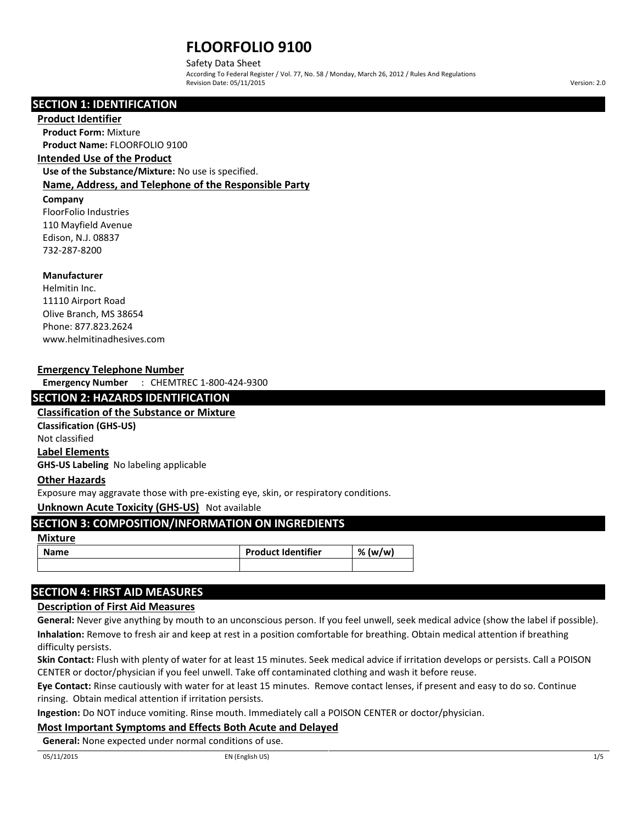Safety Data Sheet

According To Federal Register / Vol. 77, No. 58 / Monday, March 26, 2012 / Rules And Regulations Revision Date: 05/11/2015 Version: 2.0

## **SECTION 1: IDENTIFICATION**

#### **Product Identifier**

**Product Form:** Mixture **Product Name:** FLOORFOLIO 9100

## **Intended Use of the Product**

**Use of the Substance/Mixture:** No use is specified. **Name, Address, and Telephone of the Responsible Party**

## **Company**

FloorFolio Industries 110 Mayfield Avenue Edison, N.J. 08837 732-287-8200

## **Manufacturer**

Helmitin Inc. 11110 Airport Road Olive Branch, MS 38654 Phone: 877.823.2624 www.helmitinadhesives.com

## **Emergency Telephone Number**

**Emergency Number** : CHEMTREC 1-800-424-9300

## **SECTION 2: HAZARDS IDENTIFICATION**

**Classification of the Substance or Mixture Classification (GHS-US)**

Not classified

**Label Elements**

**GHS-US Labeling** No labeling applicable

## **Other Hazards**

Exposure may aggravate those with pre-existing eye, skin, or respiratory conditions.

## **Unknown Acute Toxicity (GHS-US)** Not available

## **SECTION 3: COMPOSITION/INFORMATION ON INGREDIENTS**

#### **Mixture**

| <b>Name</b> | <b>Product Identifier</b> | (w/w)<br>%. |
|-------------|---------------------------|-------------|
|             |                           |             |

## **SECTION 4: FIRST AID MEASURES**

## **Description of First Aid Measures**

**General:** Never give anything by mouth to an unconscious person. If you feel unwell, seek medical advice (show the label if possible). **Inhalation:** Remove to fresh air and keep at rest in a position comfortable for breathing. Obtain medical attention if breathing difficulty persists.

**Skin Contact:** Flush with plenty of water for at least 15 minutes. Seek medical advice if irritation develops or persists. Call a POISON CENTER or doctor/physician if you feel unwell. Take off contaminated clothing and wash it before reuse.

**Eye Contact:** Rinse cautiously with water for at least 15 minutes. Remove contact lenses, if present and easy to do so. Continue rinsing. Obtain medical attention if irritation persists.

**Ingestion:** Do NOT induce vomiting. Rinse mouth. Immediately call a POISON CENTER or doctor/physician.

## **Most Important Symptoms and Effects Both Acute and Delayed**

**General:** None expected under normal conditions of use.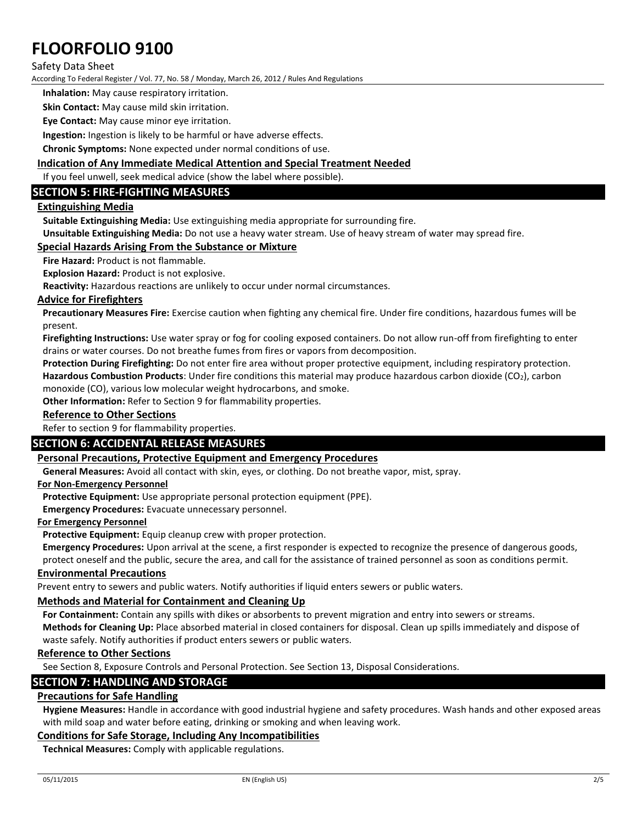## Safety Data Sheet

According To Federal Register / Vol. 77, No. 58 / Monday, March 26, 2012 / Rules And Regulations

**Inhalation:** May cause respiratory irritation.

**Skin Contact:** May cause mild skin irritation.

**Eye Contact:** May cause minor eye irritation.

**Ingestion:** Ingestion is likely to be harmful or have adverse effects.

**Chronic Symptoms:** None expected under normal conditions of use.

## **Indication of Any Immediate Medical Attention and Special Treatment Needed**

If you feel unwell, seek medical advice (show the label where possible).

## **SECTION 5: FIRE-FIGHTING MEASURES**

## **Extinguishing Media**

**Suitable Extinguishing Media:** Use extinguishing media appropriate for surrounding fire.

**Unsuitable Extinguishing Media:** Do not use a heavy water stream. Use of heavy stream of water may spread fire.

## **Special Hazards Arising From the Substance or Mixture**

**Fire Hazard:** Product is not flammable.

**Explosion Hazard:** Product is not explosive.

**Reactivity:** Hazardous reactions are unlikely to occur under normal circumstances.

#### **Advice for Firefighters**

**Precautionary Measures Fire:** Exercise caution when fighting any chemical fire. Under fire conditions, hazardous fumes will be present.

**Firefighting Instructions:** Use water spray or fog for cooling exposed containers. Do not allow run-off from firefighting to enter drains or water courses. Do not breathe fumes from fires or vapors from decomposition.

**Protection During Firefighting:** Do not enter fire area without proper protective equipment, including respiratory protection. **Hazardous Combustion Products**: Under fire conditions this material may produce hazardous carbon dioxide (CO2), carbon monoxide (CO), various low molecular weight hydrocarbons, and smoke.

**Other Information:** Refer to Section 9 for flammability properties.

#### **Reference to Other Sections**

Refer to section 9 for flammability properties.

## **SECTION 6: ACCIDENTAL RELEASE MEASURES**

#### **Personal Precautions, Protective Equipment and Emergency Procedures**

**General Measures:** Avoid all contact with skin, eyes, or clothing. Do not breathe vapor, mist, spray.

#### **For Non-Emergency Personnel**

**Protective Equipment:** Use appropriate personal protection equipment (PPE).

**Emergency Procedures:** Evacuate unnecessary personnel.

#### **For Emergency Personnel**

**Protective Equipment:** Equip cleanup crew with proper protection.

**Emergency Procedures:** Upon arrival at the scene, a first responder is expected to recognize the presence of dangerous goods, protect oneself and the public, secure the area, and call for the assistance of trained personnel as soon as conditions permit.

#### **Environmental Precautions**

Prevent entry to sewers and public waters. Notify authorities if liquid enters sewers or public waters.

## **Methods and Material for Containment and Cleaning Up**

**For Containment:** Contain any spills with dikes or absorbents to prevent migration and entry into sewers or streams. **Methods for Cleaning Up:** Place absorbed material in closed containers for disposal. Clean up spills immediately and dispose of waste safely. Notify authorities if product enters sewers or public waters.

## **Reference to Other Sections**

See Section 8, Exposure Controls and Personal Protection. See Section 13, Disposal Considerations.

## **SECTION 7: HANDLING AND STORAGE**

## **Precautions for Safe Handling**

**Hygiene Measures:** Handle in accordance with good industrial hygiene and safety procedures. Wash hands and other exposed areas with mild soap and water before eating, drinking or smoking and when leaving work.

## **Conditions for Safe Storage, Including Any Incompatibilities**

**Technical Measures:** Comply with applicable regulations.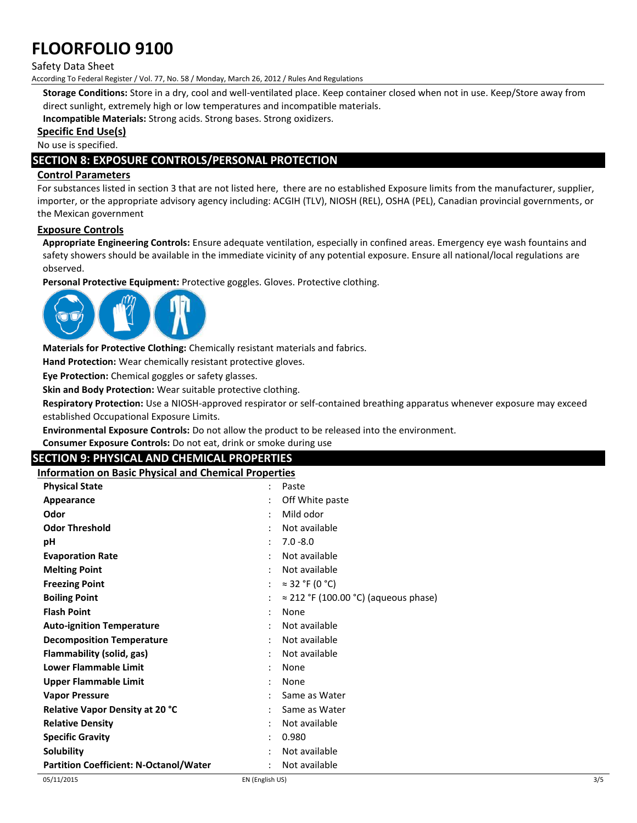## Safety Data Sheet

According To Federal Register / Vol. 77, No. 58 / Monday, March 26, 2012 / Rules And Regulations

**Storage Conditions:** Store in a dry, cool and well-ventilated place. Keep container closed when not in use. Keep/Store away from direct sunlight, extremely high or low temperatures and incompatible materials.

**Incompatible Materials:** Strong acids. Strong bases. Strong oxidizers.

#### **Specific End Use(s)**

No use is specified.

## **SECTION 8: EXPOSURE CONTROLS/PERSONAL PROTECTION**

## **Control Parameters**

For substances listed in section 3 that are not listed here, there are no established Exposure limits from the manufacturer, supplier, importer, or the appropriate advisory agency including: ACGIH (TLV), NIOSH (REL), OSHA (PEL), Canadian provincial governments, or the Mexican government

## **Exposure Controls**

**Appropriate Engineering Controls:** Ensure adequate ventilation, especially in confined areas. Emergency eye wash fountains and safety showers should be available in the immediate vicinity of any potential exposure. Ensure all national/local regulations are observed.

**Personal Protective Equipment:** Protective goggles. Gloves. Protective clothing.



**Materials for Protective Clothing:** Chemically resistant materials and fabrics.

**Hand Protection:** Wear chemically resistant protective gloves.

**Eye Protection:** Chemical goggles or safety glasses.

**Skin and Body Protection:** Wear suitable protective clothing.

**Respiratory Protection:** Use a NIOSH-approved respirator or self-contained breathing apparatus whenever exposure may exceed established Occupational Exposure Limits.

**Environmental Exposure Controls:** Do not allow the product to be released into the environment.

| <b>Environmental Exposure Controls:</b> Do not allow the product to be released into the environment. |                   |
|-------------------------------------------------------------------------------------------------------|-------------------|
| <b>Consumer Exposure Controls:</b> Do not eat, drink or smoke during use                              |                   |
| <b>SECTION 9: PHYSICAL AND CHEMICAL PROPERTIES</b>                                                    |                   |
| <b>Information on Basic Physical and Chemical Properties</b>                                          |                   |
| <b>Physical State</b>                                                                                 | Paste             |
| Appearance                                                                                            | : Off White paste |
| Odor                                                                                                  | Mild odor         |
| <b>Odor Threshold</b>                                                                                 | Not available     |
| рH                                                                                                    | $: 7.0 - 8.0$     |
| <b>Evaporation Rate</b>                                                                               | Not available     |
| <b>Melting Point</b>                                                                                  | Not available     |
|                                                                                                       |                   |

| : $\approx$ 32 °F (0 °C)                     |
|----------------------------------------------|
| $\approx$ 212 °F (100.00 °C) (aqueous phase) |
| None                                         |
| Not available                                |
| Not available                                |
| Not available                                |
| None                                         |
| None                                         |
| Same as Water                                |
| Same as Water                                |
| Not available                                |
| 0.980                                        |
| Not available                                |
| Not available                                |
|                                              |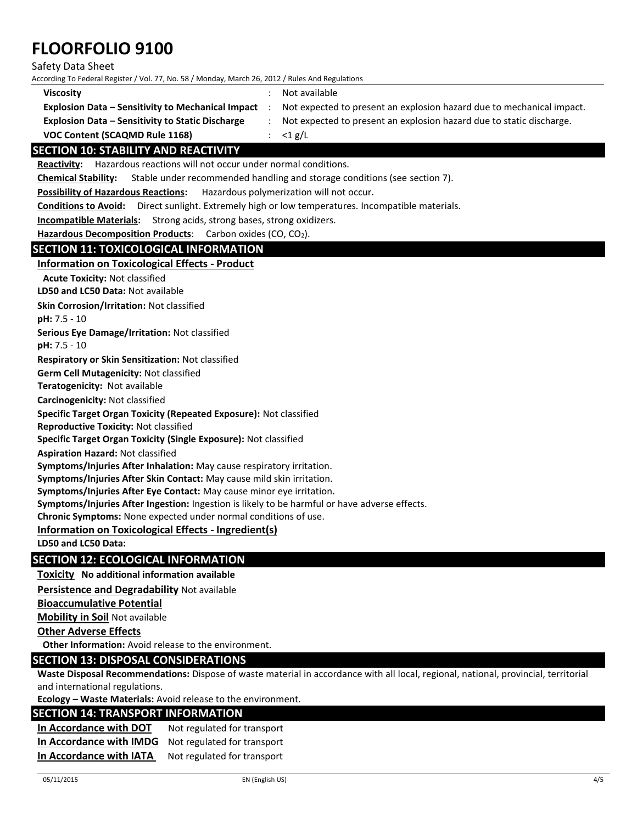Safety Data Sheet

According To Federal Register / Vol. 77, No. 58 / Monday, March 26, 2012 / Rules And Regulations

| Viscosity                                                | Not available                                                         |
|----------------------------------------------------------|-----------------------------------------------------------------------|
| <b>Explosion Data - Sensitivity to Mechanical Impact</b> | Not expected to present an explosion hazard due to mechanical impact. |
| <b>Explosion Data – Sensitivity to Static Discharge</b>  | Not expected to present an explosion hazard due to static discharge.  |
| VOC Content (SCAQMD Rule 1168)                           | : $\lt1$ g/L                                                          |

## **SECTION 10: STABILITY AND REACTIVITY**

**Reactivity:** Hazardous reactions will not occur under normal conditions.

**Chemical Stability:** Stable under recommended handling and storage conditions (see section 7).

**Possibility of Hazardous Reactions:** Hazardous polymerization will not occur.

**Conditions to Avoid:** Direct sunlight. Extremely high or low temperatures. Incompatible materials.

**Incompatible Materials:** Strong acids, strong bases, strong oxidizers.

**Hazardous Decomposition Products**:Carbon oxides (CO, CO2).

## **SECTION 11: TOXICOLOGICAL INFORMATION**

## **Information on Toxicological Effects - Product**

**Acute Toxicity:** Not classified

**LD50 and LC50 Data:** Not available

**Skin Corrosion/Irritation:** Not classified

**pH:** 7.5 - 10

**Serious Eye Damage/Irritation:** Not classified

**pH:** 7.5 - 10

**Respiratory or Skin Sensitization:** Not classified

**Germ Cell Mutagenicity:** Not classified

**Teratogenicity:** Not available

**Carcinogenicity:** Not classified

**Specific Target Organ Toxicity (Repeated Exposure):** Not classified

**Reproductive Toxicity:** Not classified

**Specific Target Organ Toxicity (Single Exposure):** Not classified

**Aspiration Hazard:** Not classified

**Symptoms/Injuries After Inhalation:** May cause respiratory irritation.

**Symptoms/Injuries After Skin Contact:** May cause mild skin irritation.

**Symptoms/Injuries After Eye Contact:** May cause minor eye irritation.

**Symptoms/Injuries After Ingestion:** Ingestion is likely to be harmful or have adverse effects.

**Chronic Symptoms:** None expected under normal conditions of use.

## **Information on Toxicological Effects - Ingredient(s)**

**LD50 and LC50 Data:**

## **SECTION 12: ECOLOGICAL INFORMATION**

**Toxicity No additional information available**

**Persistence and Degradability** Not available

**Bioaccumulative Potential**

**Mobility in Soil** Not available

**Other Adverse Effects**

**Other Information:** Avoid release to the environment.

#### **SECTION 13: DISPOSAL CONSIDERATIONS**

**Waste Disposal Recommendations:** Dispose of waste material in accordance with all local, regional, national, provincial, territorial and international regulations.

**Ecology – Waste Materials:** Avoid release to the environment.

## **SECTION 14: TRANSPORT INFORMATION**

**In Accordance with DOT** Not regulated for transport **In Accordance with IMDG** Not regulated for transport **In Accordance with IATA** Not regulated for transport